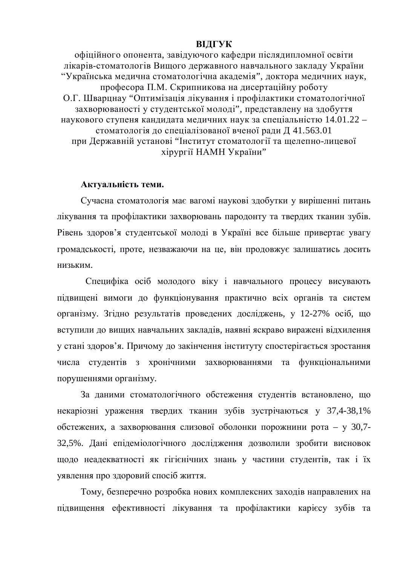### **ВІДГУК**

офіційного опонента, завідуючого кафедри післядипломної освіти лікарів-стоматологів Вищого державного навчального закладу України "Українська медична стоматологічна академія", доктора медичних наук, професора П.М. Скрипникова на дисертаційну роботу О.Г. Шварцнау "Оптимізація лікування і профілактики стоматологічної захворюваності у студентської молоді", представлену на здобуття наукового ступеня кандидата медичних наук за спеціальністю 14.01.22 – стоматологія до спеціалізованої вченої ради Д 41.563.01 при Державній установі "Інститут стоматології та щелепно-лицевої хірургії НАМН України"

#### Актуальність теми.

Сучасна стоматологія має вагомі наукові здобутки у вирішенні питань лікування та профілактики захворювань пародонту та твердих тканин зубів. Рівень здоров'я студентської молоді в Україні все більше привертає увагу громадськості, проте, незважаючи на це, він продовжує залишатись досить НИЗЬКИМ.

Специфіка осіб молодого віку і навчального процесу висувають підвищені вимоги до функціонування практично всіх органів та систем організму. Згідно результатів проведених досліджень, у 12-27% осіб, що вступили до вищих навчальних закладів, наявні яскраво виражені відхилення у стані здоров'я. Причому до закінчення інституту спостерігається зростання числа студентів з хронічними захворюваннями та функціональними порушеннями організму.

За даними стоматологічного обстеження студентів встановлено, що некаріозні ураження твердих тканин зубів зустрічаються у 37,4-38,1% обстежених, а захворювання слизової оболонки порожнини рота - у 30,7-32,5%. Дані епідеміологічного дослідження дозволили зробити висновок щодо неадекватності як гігієнічних знань у частини студентів, так і їх уявлення про здоровий спосіб життя.

Тому, безперечно розробка нових комплексних заходів направлених на підвищення ефективності лікування та профілактики карієсу зубів та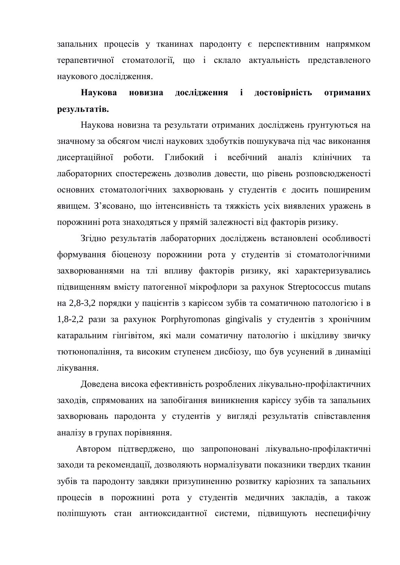запальних процесів у тканинах пародонту є перспективним напрямком терапевтичної стоматології, що і склало актуальність представленого наукового дослідження.

# Наукова новизна дослідження і достовірність отриманих **результатів.**

Наукова новизна та результати отриманих досліджень ґрунтуються на значному за обсягом числі наукових здобутків пошукувача під час виконання дисертаційної роботи. Глибокий і всебічний аналіз клінічних та лабораторних спостережень дозволив довести, що рівень розповсюдженості основних стоматологічних захворювань у студентів є досить поширеним явищем. З'ясовано, що інтенсивність та тяжкість усіх виявлених уражень в порожнині рота знаходяться у прямій залежності від факторів ризику.

Згідно результатів лабораторних досліджень встановлені особливості формування біоценозу порожнини рота у студентів зі стоматологічними захворюваннями на тлі впливу факторів ризику, які характеризувались підвищенням вмісту патогенної мікрофлори за рахунок Streptococcus mutans на 2,8-3,2 порядки у пацієнтів з каріє сом зубів та соматичною патологією і в 1,8-2,2 рази за рахунок Porphyromonas gingivalis у студентів з хронічним катаральним гінгівітом, які мали соматичну патологію і шкідливу звичку тютюнопаління, та високим ступенем дисбіозу, що був усунений в динаміці лікування.

Доведена висока ефективність розроблених лікувально-профілактичних заходів, спрямованих на запобігання виникнення карієсу зубів та запальних захворювань пародонта у студентів у вигляді результатів співставлення аналізу в групах порівняння.

Автором підтверджено, що запропоновані лікувально-профілактичні заходи та рекомендації, дозволяють нормалізувати показники твердих тканин зубів та пародонту завдяки призупиненню розвитку каріозних та запальних процесів в порожнині рота у студентів медичних закладів, а також поліпшують стан антиоксидантної системи, підвищують неспецифічну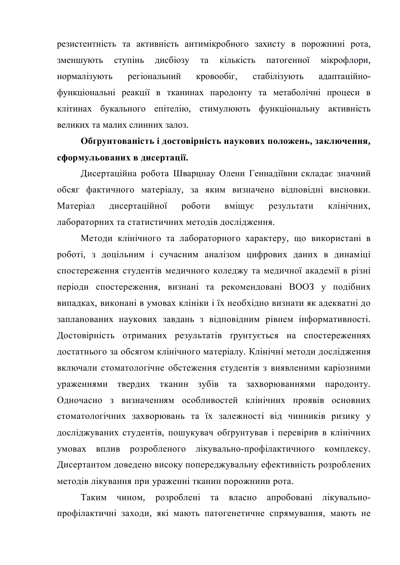резистентність та активність антимікробного захисту в порожнині рота, зменшують ступінь дисбіозу та кількість патогенної мікрофлори, нормалізують регіональний кровообіг, стабілізують адаптаційнофункціональні реакції в тканинах пародонту та метаболічні процеси в клітинах букального епітелію, стимулюють функціональну активність великих та малих слинних залоз.

### Обґрунтованість і достовірність наукових положень, заключення, сформульованих в дисертації.

Дисертаційна робота Шварцнау Олени Геннадіївни складає значний обсяг фактичного матеріалу, за яким визначено відповідні висновки. Матеріал дисертаційної роботи вміщує результати клінічних, лабораторних та статистичних методів дослідження.

Методи клінічного та лабораторного характеру, що використані в роботі, з доцільним і сучасним аналізом цифрових даних в динаміці спостереження студентів медичного коледжу та медичної академії в різні періоди спостереження, визнані та рекомендовані ВООЗ у подібних випадках, виконані в умовах клініки і їх необхідно визнати як адекватні до запланованих наукових завдань з відповідним рівнем інформативності. Достовірність отриманих результатів ґрунтується на спостереженнях достатнього за обсягом клінічного матеріалу. Клінічні методи дослідження включали стоматологічне обстеження студентів з виявленими каріозними ураженнями твердих тканин зубів та захворюваннями пародонту. Одночасно з визначенням особливостей клінічних проявів основних стоматологічних захворювань та їх залежності від чинників ризику у досліджуваних студентів, пошукувач обґрунтував і перевірив в клінічних умовах вплив розробленого лікувально-профілактичного комплексу. Дисертантом доведено високу попереджувальну ефективність розроблених методів лікування при ураженні тканин порожнини рота.

Таким чином, розроблені та власно апробовані лікувальнопрофілактичні заходи, які мають патогенетичне спрямування, мають не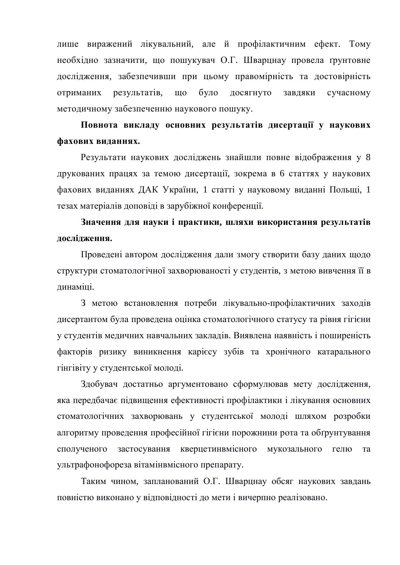лише виражений лікувальний, але й профілактичним ефект. Тому необхідно зазначити, що пошукувач О.Г. Шварцнау провела ґрунтовне дослідження, забезпечивши при цьому правомірність та достовірність отриманих результатів, що було досягнуто завдяки сучасному методичному забезпеченню наукового пошуку.

Повнота викладу основних результатів дисертації у наукових фахових виданнях.

Результати наукових досліджень знайшли повне відображення у 8 друкованих працях за темою дисертації, зокрема в 6 статтях у наукових фахових виданнях ДАК України, 1 статті у науковому виданні Польщі, 1 тезах матеріалів доповіді в зарубіжної конференції.

Значення для науки і практики, шляхи використання результатів дослідження.

Проведені автором дослідження дали змогу створити базу даних щодо структури стоматологічної захворюваності у студентів, з метою вивчення її в динаміці.

З метою встановлення потреби лікувально-профілактичних заходів лисертантом була провелена ошнка стоматологічного статусу та рівня гігієни у студентів медичних навчальних закладів. Виявлена наявність і поширеність факторів ризику виникнення карієсу зубів та хронічного катарального гінгівіту у студентської молоді.

Здобувач достатньо аргументовано сформулював мету дослідження, яка передбачає підвишення ефективності профілактики і лікування основних стоматологічних захворювань у студентської молоді шляхом розробки алгоритму проведення професійної гігієни порожнини рота та обґрунтування сполученого застосування кверцетинвмісного мукозального гелю та ультрафонофореза вітамінвмісного препарату.

Таким чином, запланований О.Г. Шварцнау обсяг наукових завдань повністю виконано у відповідності до мети і вичерпно реалізовано.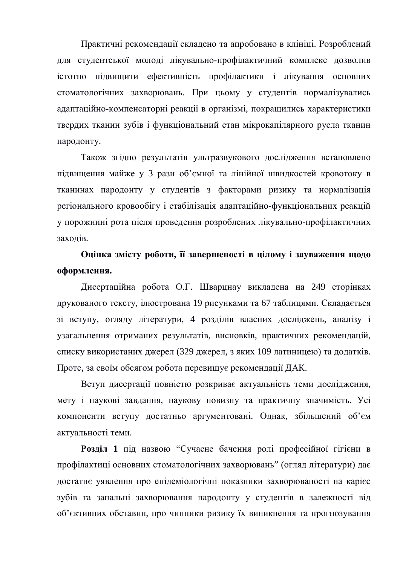Практичні рекомендації складено та апробовано в клініці. Розроблений для студентської молоді лікувально-профілактичний комплекс дозволив істотно підвищити ефективність профілактики і лікування основних стоматологічних захворювань. При цьому у студентів нормалізувались адаптаційно-компенсаторні реакції в організмі, покращились характеристики твердих тканин зубів і функціональний стан мікрокапілярного русла тканин пародонту.

Також згідно результатів ультразвукового дослідження встановлено підвищення майже у 3 рази об'ємної та лінійної швидкостей кровотоку в тканинах пародонту у студентів з факторами ризику та нормалізація регіонального кровообігу і стабілізація адаптаційно-функціональних реакцій у порожнині рота після проведення розроблених лікувально-профілактичних заходів.

## Оцінка змісту роботи, її завершеності в цілому і зауваження щодо  $\boldsymbol{\omega}$ формлення.

Дисертаційна робота О.Г. Шварцнау викладена на 249 сторінках друкованого тексту, ілюстрована 19 рисунками та 67 таблицями. Складається зі вступу, огляду літератури, 4 розділів власних досліджень, аналізу і узагальнення отриманих результатів, висновків, практичних рекомендацій, списку використаних джерел (329 джерел, з яких 109 латиницею) та додатків. Проте, за своїм обсягом робота перевищує рекомендації ДАК.

Вступ дисертації повністю розкриває актуальність теми дослідження, мету і наукові завдання, наукову новизну та практичну значимість. Усі компоненти вступу достатньо аргументовані. Однак, збільшений об'єм актуальності теми.

Розділ 1 під назвою "Сучасне бачення ролі професійної гігієни в профілактиці основних стоматологічних захворювань" (огляд літератури) дає достатнє уявлення про епідеміологічні показники захворюваності на карієс зубів та запальні захворювання пародонту у студентів в залежності від об'єктивних обставин, про чинники ризику їх виникнення та прогнозування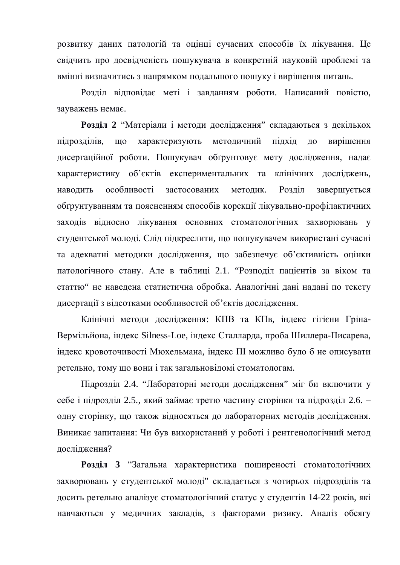розвитку даних патологій та оцінці сучасних способів їх лікування. Це свідчить про досвідченість пошукувача в конкретній науковій проблемі та вмінні визначитись з напрямком подальшого пошуку і вирішення питань.

Розділ відповідає меті і завданням роботи. Написаний повістю, зауважень немає.

Розділ 2 "Матеріали і методи дослідження" складаються з декількох підрозділів, що характеризують методичний підхід до вирішення дисертаційної роботи. Пошукувач обґрунтовує мету дослідження, надає характеристику об'єктів експериментальних та клінічних досліджень, наводить особливості застосованих методик. Розділ завершується обтрунтуванням та поясненням способів корекції лікувально-профілактичних заходів відносно лікування основних стоматологічних захворювань у студентської молоді. Слід підкреслити, що пошукувачем використані сучасні та адекватні методики дослідження, що забезпечує об'єктивність оцінки патологічного стану. Але в таблиці 2.1. "Розподіл пацієнтів за віком та статтю" не наведена статистична обробка. Аналогічні дані надані по тексту дисертації з відсотками особливостей об'єктів дослідження.

Клінічні методи дослідження: КПВ та КПв, індекс гігієни Гріна-Вермільйона, індекс Silness-Loe, індекс Сталларда, проба Шиллера-Писарева, індекс кровоточивості Мюхельмана, індекс ПІ можливо було б не описувати ретельно, тому що вони і так загальновідомі стоматологам.

Підрозділ 2.4. "Лабораторні методи дослідження" міг би включити у себе і підрозділ 2.5., який займає третю частину сторінки та підрозділ 2.6. – одну сторінку, що також відносяться до лабораторних методів дослідження. Виникає запитання: Чи був використаний у роботі і рентгенологічний метод дослідження?

Розділ 3 "Загальна характеристика поширеності стоматологічних захворювань у студентської молоді" складається з чотирьох підрозділів та досить ретельно аналізує стоматологічний статус у студентів 14-22 років, які навчаються у медичних закладів, з факторами ризику. Аналіз обсягу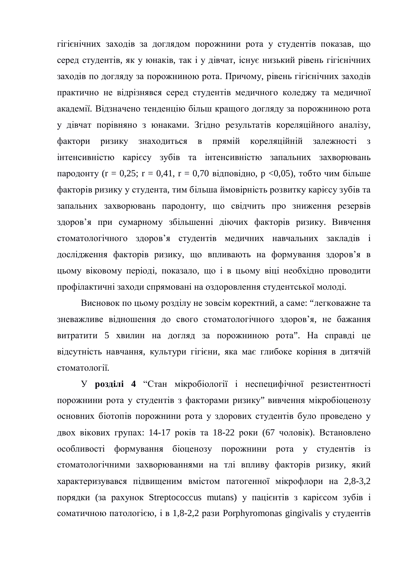гігієнічних заходів за доглядом порожнини рота у студентів показав, що серед студентів, як у юнаків, так і у дівчат, існує низький рівень гігієнічних заходів по догляду за порожниною рота. Причому, рівень гігієнічних заходів практично не відрізнявся серед студентів медичного коледжу та медичної академії. Відзначено тенденцію більш кращого догляду за порожниною рота у дівчат порівняно з юнаками. Згідно результатів кореляційного аналізу, фактори ризику знаходиться в прямій кореляційній залежності з інтенсивністю карієсу зубів та інтенсивністю запальних захворювань пародонту (r = 0,25; r = 0,41, r = 0,70 відповідно, р <0,05), тобто чим більше факторів ризику у студента, тим більша ймовірність розвитку карієсу зубів та запальних захворювань пародонту, що свідчить про зниження резервів здоров'я при сумарному збільшенні діючих факторів ризику. Вивчення стоматологічного здоров'я студентів медичних навчальних закладів і дослідження факторів ризику, що впливають на формування здоров'я в цьому віковому періоді, показало, що і в цьому віці необхідно проводити профілактичні заходи спрямовані на оздоровлення студентської молоді.

Висновок по цьому розділу не зовсім коректний, а саме: "легковажне та зневажливе вілношення до свого стоматологічного здоров'я, не бажання витратити 5 хвилин на догляд за порожниною рота". На справді це відсутність навчання, культури гігієни, яка має глибоке коріння в дитячій стоматології.

У розділі 4 "Стан мікробіології і неспецифічної резистентності порожнини рота у студентів з факторами ризику" вивчення мікробіоценозу основних біотопів порожнини рота у здорових студентів було проведено у двох вікових групах: 14-17 років та 18-22 роки (67 чоловік). Встановлено особливості формування біоценозу порожнини рота у студентів із стоматологічними захворюваннями на тлі впливу факторів ризику, який характеризувався підвищеним вмістом патогенної мікрофлори на 2,8-3,2 порядки (за рахунок Streptococcus mutans) у пацієнтів з карієсом зубів і coматичною патологією, і в 1,8-2,2 рази Porphyromonas gingivalis у студентів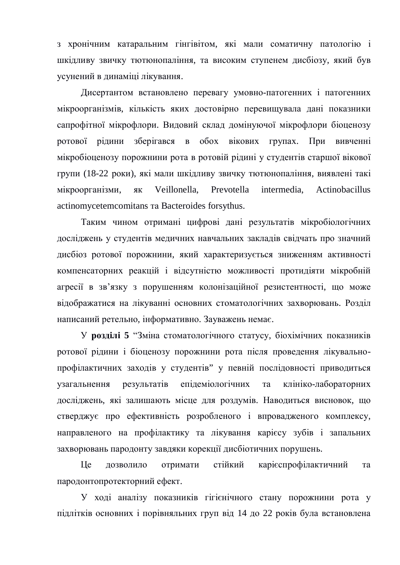з хронічним катаральним гінгівітом, які мали соматичну патологію і шкідливу звичку тютюнопаління, та високим ступенем дисбіозу, який був усунений в динаміці лікування.

Дисертантом встановлено перевагу умовно-патогенних і патогенних мікроорганізмів, кількість яких достовірно перевищувала дані показники сапрофітної мікрофлори. Видовий склад домінуючої мікрофлори біоценозу ротової рідини зберігався в обох вікових групах. При вивченні мікробіоценозу порожнини рота в ротовій рідині у студентів старшої вікової групи (18-22 роки), які мали шкідливу звичку тютюнопаління, виявлені такі мікроорганізми, як Veillonella, Prevotella intermedia, Actinobacillus actinomycetemcomitans Ta Bacteroides forsythus.

Таким чином отримані цифрові дані результатів мікробіологічних досліджень у студентів медичних навчальних закладів свідчать про значний дисбіоз ротової порожнини, який характеризується зниженням активності компенсаторних реакцій і відсутністю можливості протидіяти мікробній агресії в зв'язку з порушенням колонізаційної резистентності, що може відображатися на лікуванні основних стоматологічних захворювань. Розділ написаний ретельно, інформативно. Зауважень немає.

У розділі 5 "Зміна стоматологічного статусу, біохімічних показників ротової рідини і біоценозу порожнини рота після проведення лікувальнопрофілактичних заходів у студентів" у певній послідовності приводиться узагальнення результатів епідеміологічних та клініко-лабораторних досліджень, які залишають місце для роздумів. Наводиться висновок, що стверджує про ефективність розробленого і впровадженого комплексу, направленого на профілактику та лікування карієсу зубів і запальних захворювань пародонту завдяки корекції дисбіотичних порушень.

Це дозволило отримати стійкий карієспрофілактичний та пародонтопротекторний ефект.

У ході аналізу показників гігієнічного стану порожнини рота у підлітків основних і порівняльних груп від 14 до 22 років була встановлена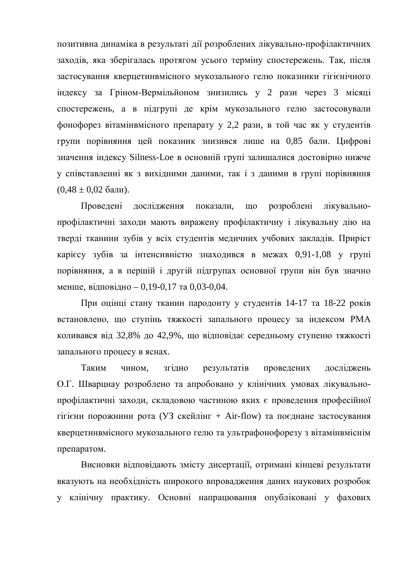позитивна динаміка в результаті дії розроблених лікувально-профілактичних заходів, яка зберігалась протягом усього терміну спостережень. Так, після застосування кверцетинвмісного мукозального гелю показники гігієнічного індексу за Гріном-Вермільйоном знизились у 2 рази через 3 місяці спостережень, а в підгрупі де крім мукозального гелю застосовували фонофорез вітамінвмісного препарату у 2,2 рази, в той час як у студентів групи порівняння цей показник знизився лише на 0,85 бали. Цифрові значення індексу Silness-Loe в основній групі залишалися достовірно нижче у співставленні як з вихідними даними, так і з даними в групі порівняння  $(0.48 \pm 0.02$  бали).

Проведені дослідження показали, що розроблені лікувальнопрофілактичні заходи мають виражену профілактичну і лікувальну дію на тверді тканини зубів у всіх студентів медичних учбових закладів. Приріст карієсу зубів за інтенсивністю знаходився в межах 0,91-1,08 у групі порівняння, а в першій і другій підгрупах основної групи він був значно менше, відповідно – 0,19-0,17 та 0,03-0,04.

При оцінці стану тканин пародонту у студентів 14-17 та 18-22 років встановлено, що ступінь тяжкості запального процесу за індексом РМА коливався від 32,8% до 42,9%, що відповідає середньому ступеню тяжкості запального процесу в яснах.

Таким чином, згідно результатів проведених досліджень О.Г. Шварцнау розроблено та апробовано у клінічних умовах лікувальнопрофілактичні заходи, складовою частиною яких є проведення професійної гігієни порожнини рота (УЗ скейлінг + Air-flow) та поєднане застосування кверцетинвмісного мукозального гелю та ультрафонофорезу з вітамінвміснім препаратом.

Висновки відповідають змісту дисертації, отримані кінцеві результати вказують на необхідність широкого впровадження даних наукових розробок у клінічну практику. Основні напрацювання опубліковані у фахових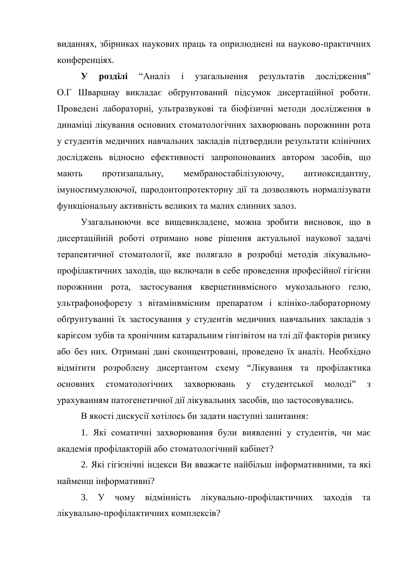виданнях, збірниках наукових праць та оприлюднені на науково-практичних конференціях.

**У розділі** "Аналіз і узагальнення результатів дослідження" О. ГШварцнау викладає обґрунтований підсумок дисертаційної роботи. Проведені лабораторні, ультразвукові та біофізичні методи дослідження в динаміці лікування основних стоматологічних захворювань порожнини рота у студентів медичних навчальних закладів підтвердили результати клінічних досліджень відносно ефективності запропонованих автором засобів, що мають протизапальну, мембраностабілізуюючу, антиоксидантну, імуностимулюючої, пародонтопротекторну дії та дозволяють нормалізувати функціональну активність великих та малих слинних залоз.

Узагальнюючи все вищевикладене, можна зробити висновок, що в дисертаційній роботі отримано нове рішення актуальної наукової задачі терапевтичної стоматології, яке полягало в розробці методів лікувальнопрофілактичних заходів, що включали в себе проведення професійної гігієни порожнини рота, застосування кверцетинвмісного мукозального гелю, ультрафонофорезу з вітамінвмісним препаратом і клініко-лабораторному обґрунтуванні їх застосування у студентів медичних навчальних закладів з каріє сом зубів та хронічним катаральним гінгівітом на тлі дії факторів ризику або без них. Отримані дані сконцентровані, проведено їх аналіз. Необхідно відмітити розроблену дисертантом схему "Лікування та профілактика основних стоматологічних захворювань у студентської молоді" з урахуванням патогенетичної дії лікувальних засобів, що застосовувались.

В якості дискусії хотілось би задати наступні запитання:

1. Які соматичні захворювання були виявленні у студентів, чи має академія профілакторій або стоматологічний кабінет?

2. Які гігієнічні індекси Ви вважаєте найбільш інформативними, та які найменш інформативні?

3. У чому вілмінність лікувально-профілактичних заходів та лікувально-профілактичних комплексів?